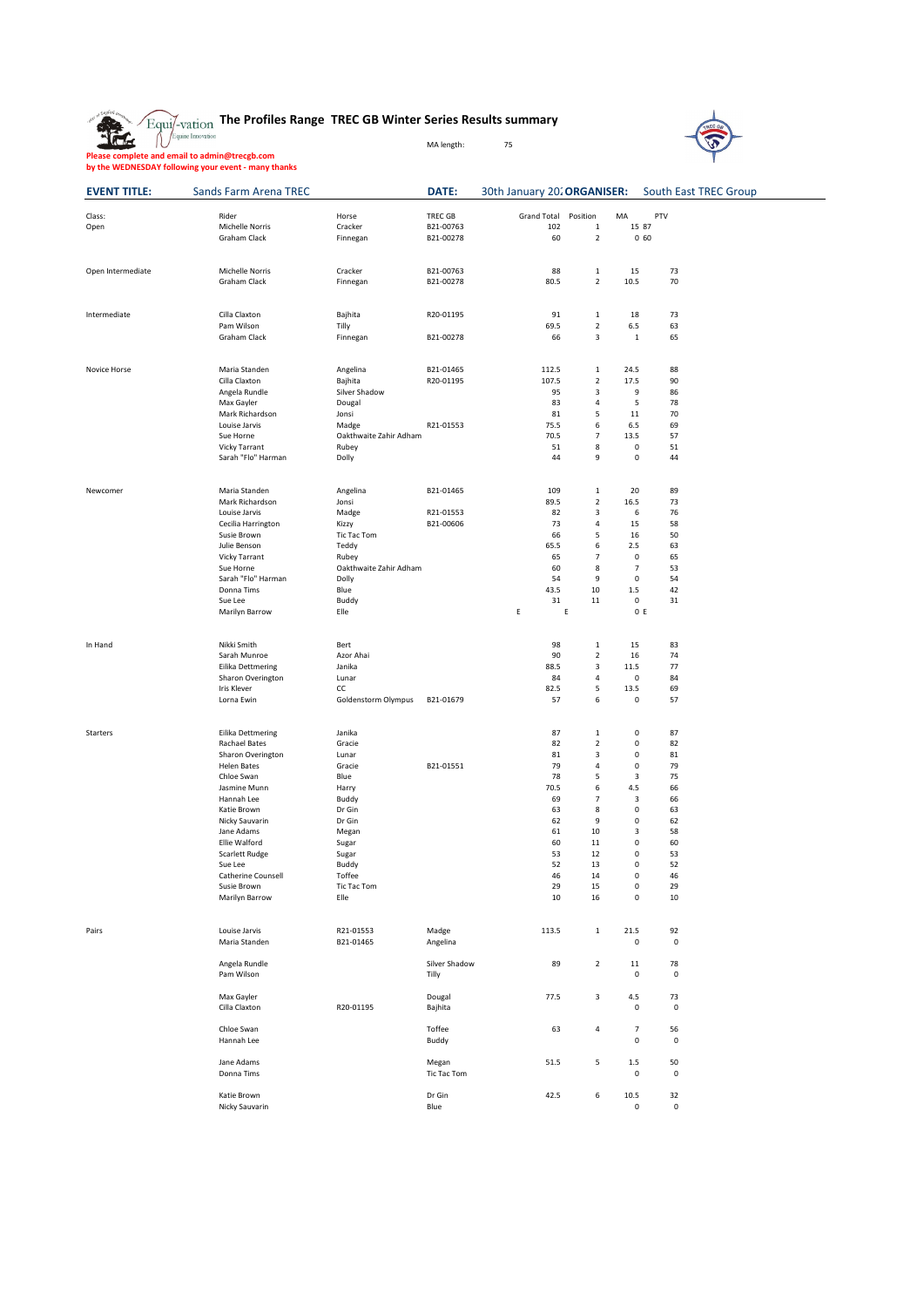MA length: 75

**Please complete and email to admin@trecgb.com by the WEDNESDAY following your event - many thanks**



| <b>EVENT TITLE:</b> | Sands Farm Arena TREC                   |                        | DATE:           | 30th January 202 ORGANISER: |                         |                            | South East TREC Group |  |
|---------------------|-----------------------------------------|------------------------|-----------------|-----------------------------|-------------------------|----------------------------|-----------------------|--|
| Class:              | Rider                                   | Horse                  | TREC GB         | Grand Total                 | Position                | MA                         | PTV                   |  |
| Open                | Michelle Norris                         | Cracker                | B21-00763       | 102                         | $\,$ 1                  | 15 87                      |                       |  |
|                     | Graham Clack                            | Finnegan               | B21-00278       | 60                          | $\overline{2}$          | 060                        |                       |  |
|                     |                                         |                        |                 |                             |                         |                            |                       |  |
| Open Intermediate   | Michelle Norris                         | Cracker                | B21-00763       | 88                          | $\mathbf{1}$            | 15                         | 73                    |  |
|                     | Graham Clack                            | Finnegan               | B21-00278       | 80.5                        | $\overline{2}$          | 10.5                       | 70                    |  |
|                     |                                         |                        |                 |                             |                         |                            |                       |  |
| Intermediate        | Cilla Claxton                           | Bajhita                | R20-01195       | 91                          | $\mathbf{1}$            | 18                         | 73                    |  |
|                     | Pam Wilson<br>Graham Clack              | Tilly<br>Finnegan      | B21-00278       | 69.5<br>66                  | $\overline{2}$<br>3     | 6.5<br>$\mathbf{1}$        | 63<br>65              |  |
|                     |                                         |                        |                 |                             |                         |                            |                       |  |
| Novice Horse        | Maria Standen                           | Angelina               | B21-01465       | 112.5                       | $\mathbf{1}$            | 24.5                       | 88                    |  |
|                     | Cilla Claxton                           | Bajhita                | R20-01195       | 107.5                       | $\overline{2}$          | 17.5                       | 90                    |  |
|                     | Angela Rundle                           | Silver Shadow          |                 | 95                          | 3                       | 9                          | 86                    |  |
|                     | Max Gayler                              | Dougal                 |                 | 83                          | 4                       | 5                          | 78                    |  |
|                     | Mark Richardson<br>Louise Jarvis        | Jonsi<br>Madge         | R21-01553       | 81<br>75.5                  | 5<br>6                  | 11<br>6.5                  | 70<br>69              |  |
|                     | Sue Horne                               | Oakthwaite Zahir Adham |                 | 70.5                        | $\overline{7}$          | 13.5                       | 57                    |  |
|                     | Vicky Tarrant                           | Rubey                  |                 | 51                          | 8                       | $\mathbf 0$                | 51                    |  |
|                     | Sarah "Flo" Harman                      | Dolly                  |                 | 44                          | 9                       | $\mathbf 0$                | 44                    |  |
|                     |                                         |                        |                 |                             |                         |                            |                       |  |
| Newcomer            | Maria Standen                           | Angelina               | B21-01465       | 109                         | $\mathbf 1$             | 20                         | 89                    |  |
|                     | Mark Richardson<br>Louise Jarvis        | Jonsi<br>Madge         | R21-01553       | 89.5<br>82                  | $\overline{2}$<br>3     | 16.5<br>6                  | 73<br>76              |  |
|                     | Cecilia Harrington                      | Kizzy                  | B21-00606       | 73                          | 4                       | 15                         | 58                    |  |
|                     | Susie Brown                             | Tic Tac Tom            |                 | 66                          | 5                       | 16                         | 50                    |  |
|                     | Julie Benson                            | Teddy                  |                 | 65.5                        | 6                       | 2.5                        | 63                    |  |
|                     | <b>Vicky Tarrant</b>                    | Rubey                  |                 | 65                          | $\overline{7}$          | $\mathbf 0$                | 65                    |  |
|                     | Sue Horne                               | Oakthwaite Zahir Adham |                 | 60                          | 8                       | $\overline{7}$             | 53                    |  |
|                     | Sarah "Flo" Harman<br>Donna Tims        | Dolly<br>Blue          |                 | 54<br>43.5                  | 9<br>10                 | $\pmb{0}$<br>1.5           | 54<br>42              |  |
|                     | Sue Lee                                 | Buddy                  |                 | 31                          | 11                      | $\mathsf 0$                | 31                    |  |
|                     | Marilyn Barrow                          | Elle                   |                 | E                           | Ε                       | 0 E                        |                       |  |
|                     |                                         |                        |                 |                             |                         |                            |                       |  |
| In Hand             | Nikki Smith                             | Bert                   |                 | 98                          | $\mathbf{1}$            | 15                         | 83                    |  |
|                     | Sarah Munroe                            | Azor Ahai              |                 | 90                          | $\overline{2}$          | 16                         | 74                    |  |
|                     | Eilika Dettmering<br>Sharon Overington  | Janika<br>Lunar        |                 | 88.5<br>84                  | 3<br>4                  | 11.5<br>$\mathbf 0$        | 77<br>84              |  |
|                     | Iris Klever                             | CC                     |                 | 82.5                        | 5                       | 13.5                       | 69                    |  |
|                     | Lorna Ewin                              | Goldenstorm Olympus    | B21-01679       | 57                          | 6                       | $\pmb{0}$                  | 57                    |  |
|                     |                                         |                        |                 |                             |                         |                            |                       |  |
| Starters            | Eilika Dettmering                       | Janika                 |                 | 87                          | $\mathbf{1}$            | $\pmb{0}$                  | 87                    |  |
|                     | <b>Rachael Bates</b>                    | Gracie                 |                 | 82                          | $\overline{2}$          | $\mathbf 0$                | 82                    |  |
|                     | Sharon Overington<br><b>Helen Bates</b> | Lunar<br>Gracie        | B21-01551       | 81<br>79                    | 3<br>4                  | $\mathbf 0$<br>$\mathbf 0$ | 81<br>79              |  |
|                     | Chloe Swan                              | Blue                   |                 | 78                          | 5                       | 3                          | 75                    |  |
|                     | Jasmine Munn                            | Harry                  |                 | 70.5                        | 6                       | 4.5                        | 66                    |  |
|                     | Hannah Lee                              | Buddy                  |                 | 69                          | $\overline{7}$          | 3                          | 66                    |  |
|                     | Katie Brown                             | Dr Gin                 |                 | 63                          | 8                       | $\mathbf 0$                | 63                    |  |
|                     | Nicky Sauvarin                          | Dr Gin                 |                 | 62                          | 9                       | $\mathbf 0$<br>3           | 62                    |  |
|                     | Jane Adams<br>Ellie Walford             | Megan<br>Sugar         |                 | 61<br>60                    | 10<br>11                | 0                          | 58<br>60              |  |
|                     | Scarlett Rudge                          | Sugar                  |                 | 53                          | 12                      | $\mathbf 0$                | 53                    |  |
|                     | Sue Lee                                 | Buddy                  |                 | 52                          | 13                      | 0                          | 52                    |  |
|                     | Catherine Counsell                      | Toffee                 |                 | 46                          | 14                      | 0                          | 46                    |  |
|                     | Susie Brown                             | Tic Tac Tom<br>Elle    |                 | 29<br>10                    | 15                      | $\pmb{0}$<br>$\mathbf 0$   | 29<br>$10\,$          |  |
|                     | Marilyn Barrow                          |                        |                 |                             | 16                      |                            |                       |  |
| Pairs               | Louise Jarvis                           | R21-01553              | Madge           | 113.5                       | $\mathbf{1}$            | 21.5                       | 92                    |  |
|                     | Maria Standen                           | B21-01465              | Angelina        |                             |                         | $\mathsf 0$                | $\mathsf 0$           |  |
|                     | Angela Rundle                           |                        | Silver Shadow   | 89                          | $\overline{2}$          | 11                         | 78                    |  |
|                     | Pam Wilson                              |                        | Tilly           |                             |                         | $\pmb{0}$                  | $\mathbf 0$           |  |
|                     | Max Gayler                              |                        | Dougal          | 77.5                        | 3                       | 4.5                        | 73                    |  |
|                     | Cilla Claxton                           | R20-01195              | Bajhita         |                             |                         | $\mathsf 0$                | $\mathsf 0$           |  |
|                     |                                         |                        |                 |                             |                         | $\overline{7}$             | 56                    |  |
|                     | Chloe Swan<br>Hannah Lee                |                        | Toffee<br>Buddy | 63                          | $\overline{\mathbf{4}}$ | $\mathbf 0$                | $\mathbf 0$           |  |
|                     | Jane Adams                              |                        | Megan           | 51.5                        | 5                       | 1.5                        | 50                    |  |
|                     | Donna Tims                              |                        | Tic Tac Tom     |                             |                         | $\mathbf 0$                | $\mathsf 0$           |  |
|                     | Katie Brown                             |                        | Dr Gin          | 42.5                        | 6                       | 10.5                       | 32                    |  |
|                     | Nicky Sauvarin                          |                        | Blue            |                             |                         | $\mathbf 0$                | $\mathbf 0$           |  |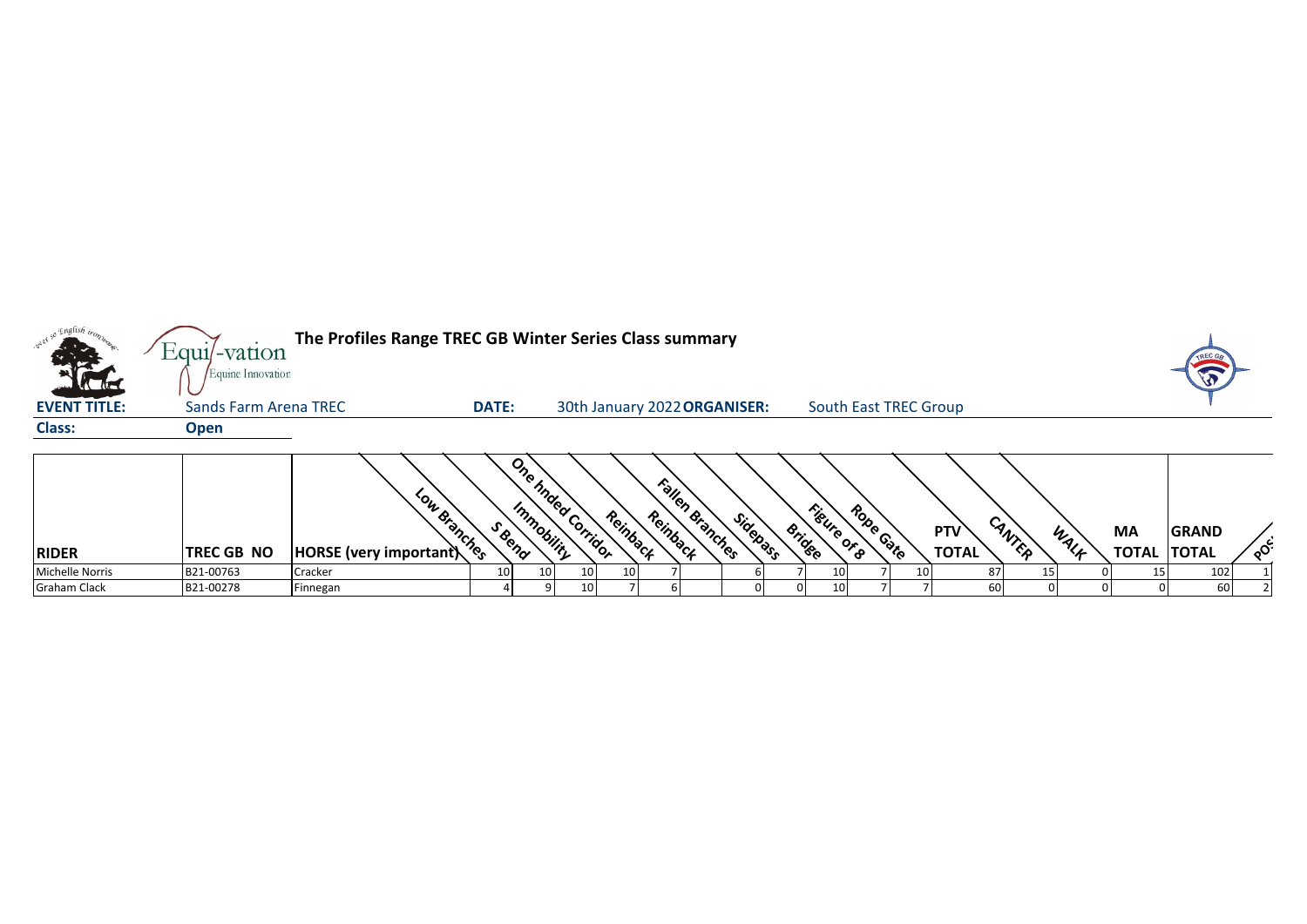| so English trop                     | $Equi$ -vation<br>Equine Innovation | The Profiles Range TREC GB Winter Series Class summary |                 |                                              |                              |          |                                           |                            |                |                           | TREC                                       |
|-------------------------------------|-------------------------------------|--------------------------------------------------------|-----------------|----------------------------------------------|------------------------------|----------|-------------------------------------------|----------------------------|----------------|---------------------------|--------------------------------------------|
| <b>ACTES</b><br><b>EVENT TITLE:</b> | Sands Farm Arena TREC               |                                                        | <b>DATE:</b>    |                                              | 30th January 2022 ORGANISER: |          | South East TREC Group                     |                            |                |                           |                                            |
| <b>Class:</b>                       | <b>Open</b>                         |                                                        |                 |                                              |                              |          |                                           |                            |                |                           |                                            |
| <b>RIDER</b>                        | <b>TREC GB NO</b>                   | Low Branches<br>$ HORSE$ (very important)              | S Reng          | One hnded Corridor<br>Immobility<br>Reinback | Fallen Branches<br>Reinback  | Sidepass | Rope Gate<br>Figure or g<br><b>Bridge</b> | <b>PTV</b><br><b>TOTAL</b> | CANTER<br>WALK | <b>MA</b><br><b>TOTAL</b> | <b>GRAND</b><br>$\delta^2$<br><b>TOTAL</b> |
| Michelle Norris                     | B21-00763                           | Cracker                                                | 10 <sup>1</sup> | 10<br>10 <sup>1</sup><br>10                  |                              |          | 10                                        | 87                         | 15             |                           | 102                                        |
| <b>Graham Clack</b>                 | B21-00278                           | Finnegan                                               |                 | 10                                           |                              |          | 10                                        | 60                         |                |                           | 60                                         |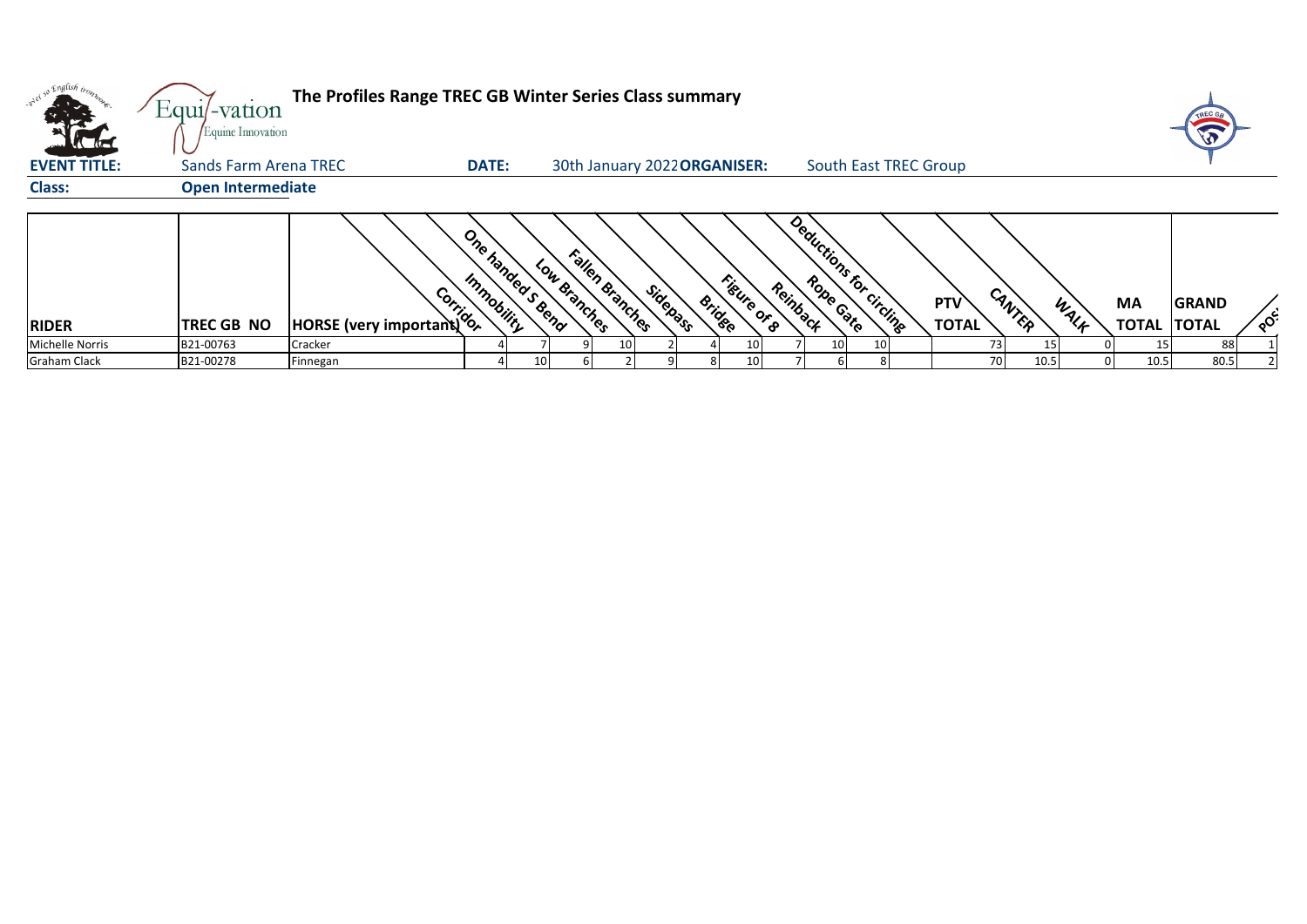| $\sqrt{1-\frac{1}{2}}$ | Equil-vation<br>Equine Innovation | The Profiles Range TREC GB Winter Series Class summary |                                 |              |                 |                              |                        |                                     |                            |                |                          | TREC GA      |                      |
|------------------------|-----------------------------------|--------------------------------------------------------|---------------------------------|--------------|-----------------|------------------------------|------------------------|-------------------------------------|----------------------------|----------------|--------------------------|--------------|----------------------|
| <b>EVENT TITLE:</b>    | Sands Farm Arena TREC             |                                                        | <b>DATE:</b>                    |              |                 | 30th January 2022 ORGANISER: |                        | South East TREC Group               |                            |                |                          |              |                      |
| <b>Class:</b>          | <b>Open Intermediate</b>          |                                                        |                                 |              |                 |                              |                        |                                     |                            |                |                          |              |                      |
| <b>RIDER</b>           | <b>TREC GB NO</b>                 | ASSE (very important)                                  | One handed S Bend<br>Immobility | Low Branches | Fallen Branches | Sidepass<br><b>Bridge</b>    | Figure or <sub>S</sub> | Deductions for circling<br>Reinback | <b>PTV</b><br><b>TOTAL</b> | CANTER<br>WALK | МA<br><b>TOTAL TOTAL</b> | <b>GRAND</b> | $\circ$ <sup>C</sup> |
| <b>Michelle Norris</b> | B21-00763                         | Cracker                                                |                                 |              |                 |                              | 10                     | 10 <sup>1</sup><br>10               |                            |                |                          | 88           |                      |
| <b>Graham Clack</b>    | B21-00278                         | Finnegan                                               |                                 | 10           |                 |                              | 10                     |                                     | 70                         | 10.5           | 10.5<br>$\Omega$         | 80.5         |                      |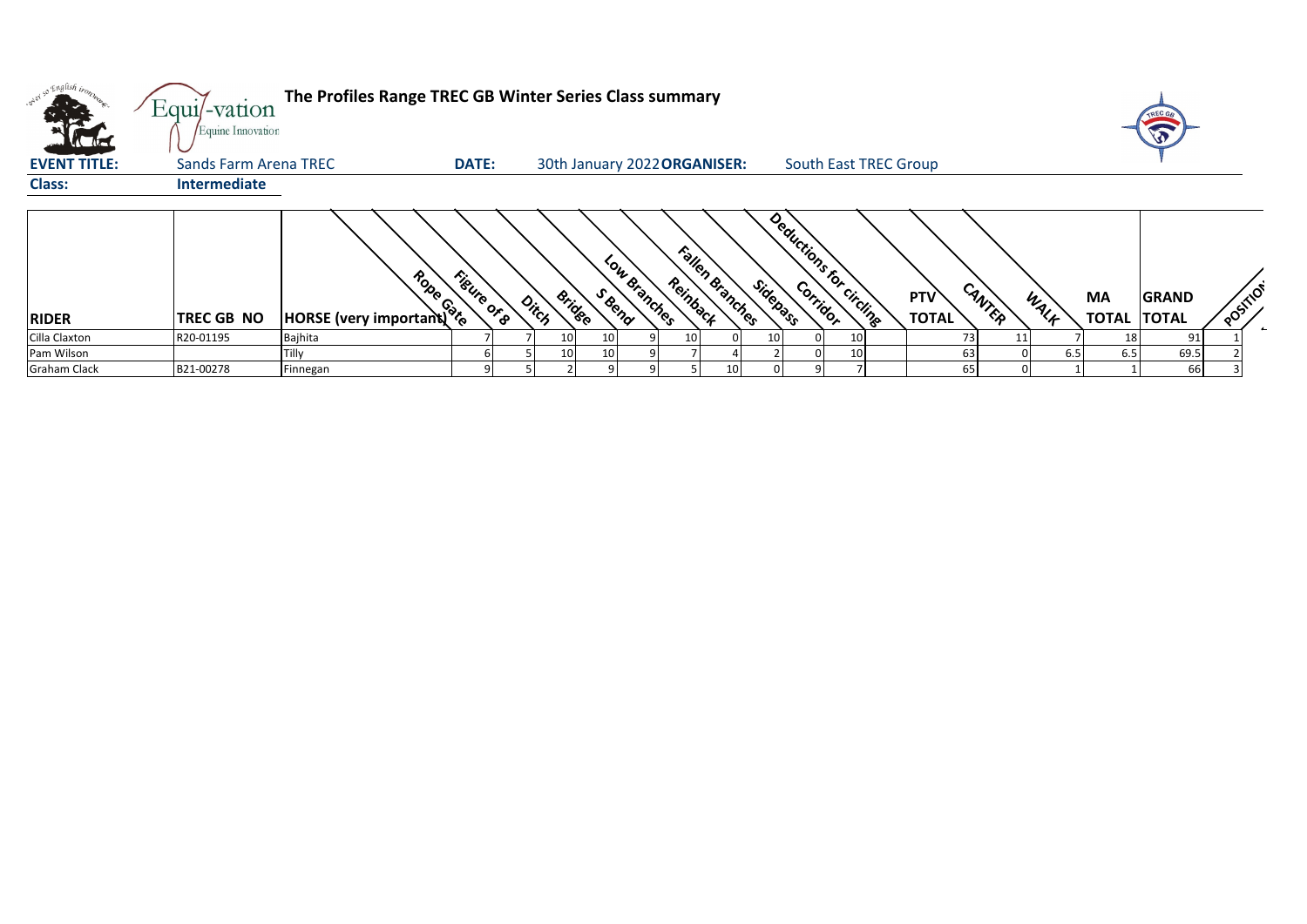|                     | Equi/-vation<br>Equine Innovation | The Profiles Range TREC GB Winter Series Class summary |                        |       |               |                              |                             |    |          |                         |                            |                    |      |                          | TREC GR      |          |
|---------------------|-----------------------------------|--------------------------------------------------------|------------------------|-------|---------------|------------------------------|-----------------------------|----|----------|-------------------------|----------------------------|--------------------|------|--------------------------|--------------|----------|
| <b>EVENT TITLE:</b> | Sands Farm Arena TREC             |                                                        | <b>DATE:</b>           |       |               | 30th January 2022 ORGANISER: |                             |    |          | South East TREC Group   |                            |                    |      |                          |              |          |
| <b>Class:</b>       | Intermediate                      |                                                        |                        |       |               |                              |                             |    |          |                         |                            |                    |      |                          |              |          |
| <b>RIDER</b>        | <b>TREC GB NO</b>                 | <b>Rope Gote</b><br>HORSE (very important)             | Figure Or <sub>S</sub> | Ditch | <b>Bridge</b> | Low Branches<br>S Bend       | Fallen Branches<br>Reinback |    | Sidepass | Deductions for circling | <b>PTV</b><br><b>TOTAL</b> | CANTER             | WALK | MA<br><b>TOTAL TOTAL</b> | <b>GRAND</b> | POSITION |
| Cilla Claxton       | R20-01195                         | Bajhita                                                |                        |       | 10            | 10'                          | 101                         |    | 10       | 10                      |                            | 73 <sub>1</sub>    |      | 18                       | 91           |          |
| Pam Wilson          |                                   | Tilly                                                  |                        |       | 10            | 10                           |                             |    |          | 10                      |                            | 63<br>$\Omega$     | 6.5  | 6.5                      | 69.5         |          |
| <b>Graham Clack</b> | B21-00278                         | Finnegan                                               |                        |       |               |                              |                             | 10 |          |                         |                            | 65<br><sup>n</sup> |      |                          | 66           |          |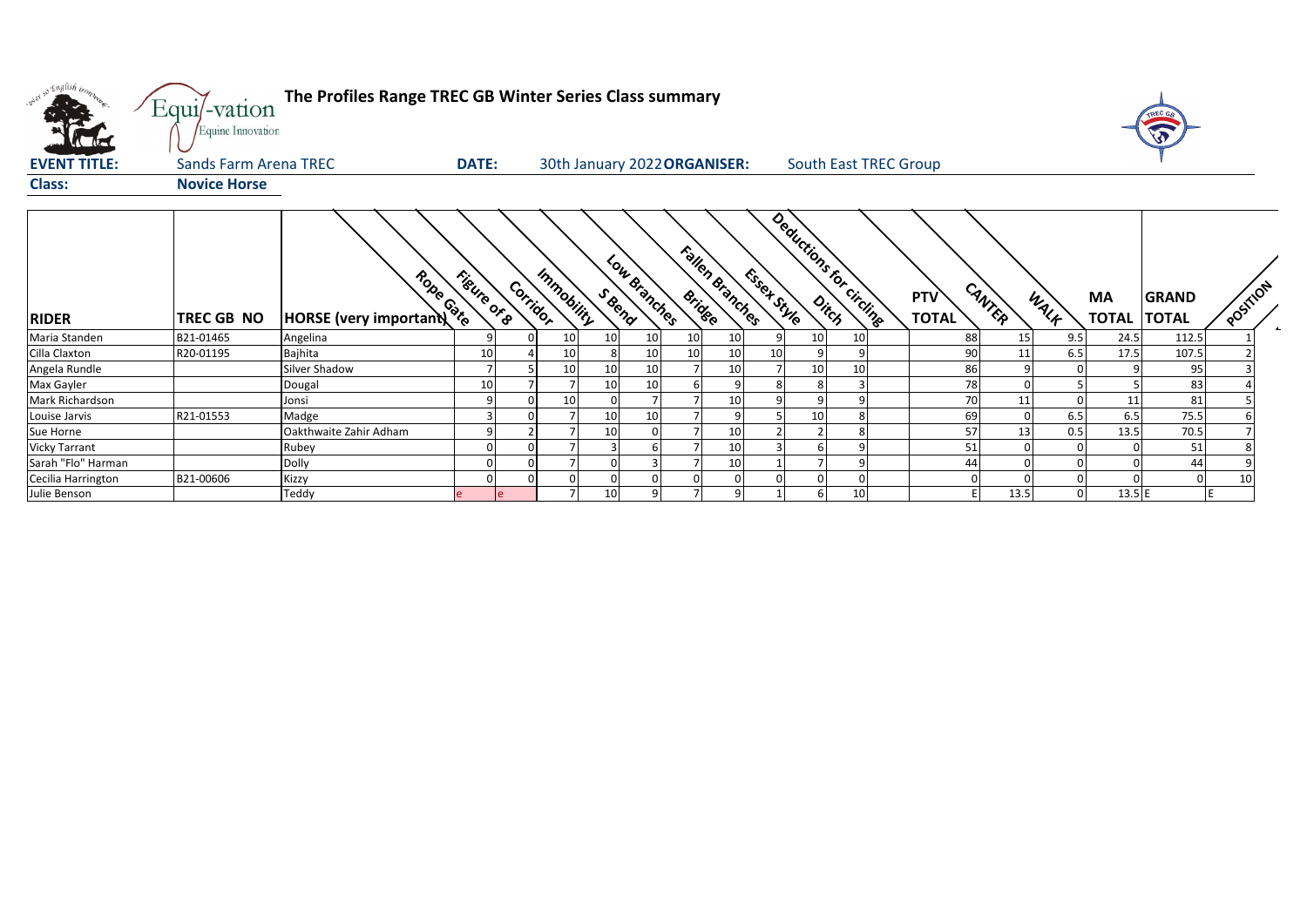| over so English trong | Equi/-vation<br>Equine Innovation | The Profiles Range TREC GB Winter Series Class summary |              |          |                |                              |                 |    |                 |             |                         |    |                       |                     |        |      |                           |                              |          |
|-----------------------|-----------------------------------|--------------------------------------------------------|--------------|----------|----------------|------------------------------|-----------------|----|-----------------|-------------|-------------------------|----|-----------------------|---------------------|--------|------|---------------------------|------------------------------|----------|
| <b>EVENT TITLE:</b>   | Sands Farm Arena TREC             |                                                        | <b>DATE:</b> |          |                | 30th January 2022 ORGANISER: |                 |    |                 |             |                         |    | South East TREC Group |                     |        |      |                           |                              |          |
| <b>Class:</b>         | <b>Novice Horse</b>               |                                                        |              |          |                |                              |                 |    |                 |             |                         |    |                       |                     |        |      |                           |                              |          |
| <b>RIDER</b>          | TREC GB NO                        | Robe Cate<br>HORSE (very important)                    | Figure or a  | Corridor | Immobility     | S Beno                       | Low Branches    |    | Fallen Branches | Essey Sille | Deductions for circling |    |                       | PTV<br><b>TOTAL</b> | CANTER | WALK | <b>MA</b><br><b>TOTAL</b> | <b>GRAND</b><br><b>TOTAL</b> | POSITION |
| Maria Standen         | B21-01465                         | Angelina                                               | 9            | 0        | 10             | 10                           | 10 <sup>1</sup> | 10 | 10              |             | 10 <sup>1</sup>         | 10 |                       | 88                  | 15     | 9.5  | 24.5                      | 112.5                        |          |
| Cilla Claxton         | R20-01195                         | Bajhita                                                | 10           |          | 10             |                              | 10              | 10 | 10              | 10          | 9                       |    |                       | 90                  | 11     | 6.5  | 17.5                      | 107.5                        |          |
| Angela Rundle         |                                   | Silver Shadow                                          |              |          | 10             | 10                           | 10              |    | 10              |             | 10                      | 10 |                       | 86                  |        |      | 9                         | 95                           |          |
| Max Gayler            |                                   | Dougal                                                 | 10           |          |                | 10                           | 10              |    |                 |             | 8                       |    |                       | 78                  |        |      |                           | 83                           |          |
| Mark Richardson       |                                   | Jonsi                                                  | $\mathbf{q}$ |          | 10             |                              | $\overline{7}$  |    | 10              |             | q                       |    |                       | 70                  | 11     |      | 11                        | 81                           |          |
| Louise Jarvis         | R21-01553                         | Madge                                                  | $\mathbf{3}$ |          |                | 10                           | 10              |    |                 |             | 10                      |    |                       | 69                  |        | 6.5  | 6.5                       | 75.5                         |          |
| Sue Horne             |                                   | Oakthwaite Zahir Adham                                 | q            |          |                | 10                           |                 |    | 10              |             |                         |    |                       | 57                  | 13     | 0.5  | 13.5                      | 70.5                         |          |
| <b>Vicky Tarrant</b>  |                                   | Rubey                                                  | $\Omega$     |          |                |                              |                 |    | 10              |             |                         |    |                       | 51                  |        |      |                           | 51                           |          |
| Sarah "Flo" Harman    |                                   | Dolly                                                  |              | $\Omega$ |                |                              |                 |    | 10              |             |                         |    |                       | 44                  |        |      |                           | 44                           |          |
| Cecilia Harrington    | B21-00606                         | Kizzy                                                  | O            | $\Omega$ | $\overline{0}$ |                              |                 |    |                 |             |                         |    |                       | $\overline{0}$      |        |      |                           | 0                            |          |
| Julie Benson          |                                   | Teddy                                                  |              | le.      |                | 10 <sup>1</sup>              | 9               |    | q               |             | $6 \mid$                | 10 |                       |                     | 13.5   |      | $13.5$ E                  |                              |          |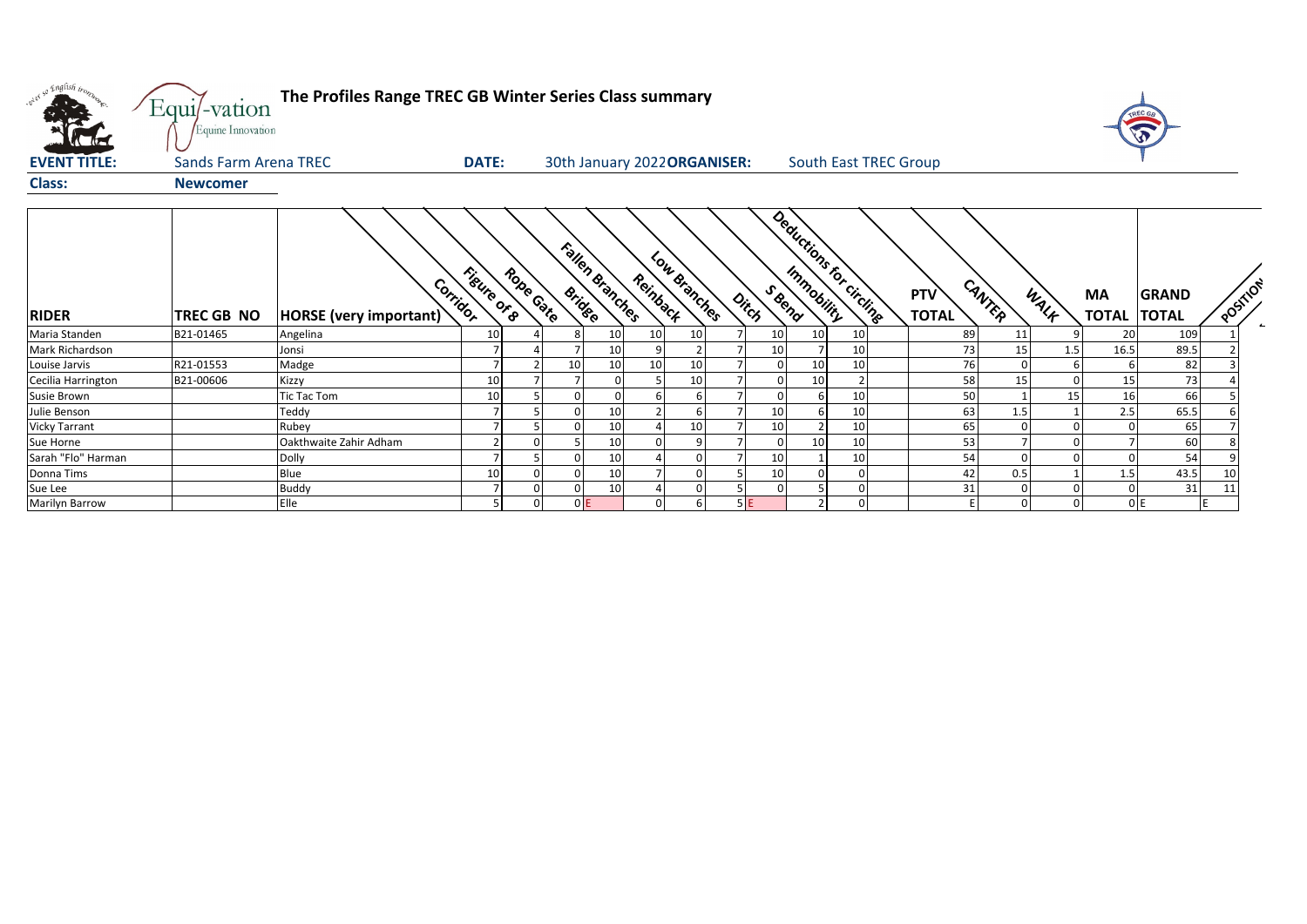| with so English trong  | Equi/-vation<br>Equine Innovation | The Profiles Range TREC GB Winter Series Class summary |                 |           |                             |    |                |              |    |                 |                          |    |                            |             |      |                           |                              |          |  |
|------------------------|-----------------------------------|--------------------------------------------------------|-----------------|-----------|-----------------------------|----|----------------|--------------|----|-----------------|--------------------------|----|----------------------------|-------------|------|---------------------------|------------------------------|----------|--|
| <b>EVENT TITLE:</b>    | Sands Farm Arena TREC             |                                                        | <b>DATE:</b>    |           | 30th January 2022ORGANISER: |    |                |              |    |                 | South East TREC Group    |    |                            |             |      |                           |                              |          |  |
| <b>Class:</b>          | <b>Newcomer</b>                   |                                                        |                 |           |                             |    |                |              |    |                 |                          |    |                            |             |      |                           |                              |          |  |
| <b>RIDER</b>           | <b>TREC GB NO</b>                 | Corrigor<br><b>HORSE</b> (very important)              | Figure of 8     | Robe Cate | Fallen Branches             |    | Reinback       | Low Branches |    | S Rend<br>Ditch | Deductions for circlinge |    | <b>PTV</b><br><b>TOTAL</b> | CANTER      | WALK | <b>MA</b><br><b>TOTAL</b> | <b>GRAND</b><br><b>TOTAL</b> | POSTILOT |  |
| Maria Standen          | B21-01465                         | Angelina                                               | 10 <sub>1</sub> |           |                             | 10 | 10             | 10           |    | 10              | 10                       | 10 | 89                         | 11          |      | 20                        | 109                          |          |  |
| <b>Mark Richardson</b> |                                   | Jonsi                                                  |                 |           |                             | 10 | 9              |              |    | 10              |                          | 10 | 73                         | 15          | 1.5  | 16.5                      | 89.5                         |          |  |
| Louise Jarvis          | R21-01553                         | Madge                                                  |                 |           | 10                          | 10 | 10             | 10           |    | $\Omega$        | 10                       | 10 | 76                         | $\Omega$    |      |                           | 82                           |          |  |
| Cecilia Harrington     | B21-00606                         | Kizzy                                                  | 10              |           |                             |    |                | 10           |    |                 | 10                       |    | 58                         | 15          |      | 15                        | 73                           |          |  |
| Susie Brown            |                                   | Tic Tac Tom                                            | 10              |           |                             |    |                |              |    |                 |                          | 10 | 50                         |             | 15   | 16                        | 66                           |          |  |
| Julie Benson           |                                   | Teddy                                                  |                 |           |                             | 10 | $\mathcal{P}$  |              |    | 10              |                          | 10 | 63                         | 1.5         |      | 2.5                       | 65.5                         |          |  |
| Vicky Tarrant          |                                   | Rubey                                                  |                 |           |                             | 10 |                | 10           |    | 10              |                          | 10 | 65                         |             |      |                           | 65                           |          |  |
| Sue Horne              |                                   | Oakthwaite Zahir Adham                                 |                 |           |                             | 10 |                | Q            |    | $\Omega$        | 10                       | 10 | 53                         |             |      |                           | 60                           |          |  |
| Sarah "Flo" Harman     |                                   | Dolly                                                  |                 |           |                             | 10 |                | $\Omega$     |    | 10              |                          | 10 | 54                         |             |      |                           | 54                           |          |  |
| Donna Tims             |                                   | Blue                                                   | 10              |           |                             | 10 |                | $\Omega$     |    | 10              |                          |    | 42                         | 0.5         |      | 1.5                       | 43.5                         | 10       |  |
| Sue Lee                |                                   | Buddy                                                  |                 |           |                             | 10 |                | $\Omega$     |    |                 |                          |    | 31                         | $\Omega$    |      |                           | 31                           | 11       |  |
| Marilyn Barrow         |                                   | Elle                                                   |                 | 0         | 0E                          |    | $\overline{0}$ | 6            | 5E |                 |                          |    |                            | $\mathbf 0$ |      |                           | 0 <sup>E</sup>               |          |  |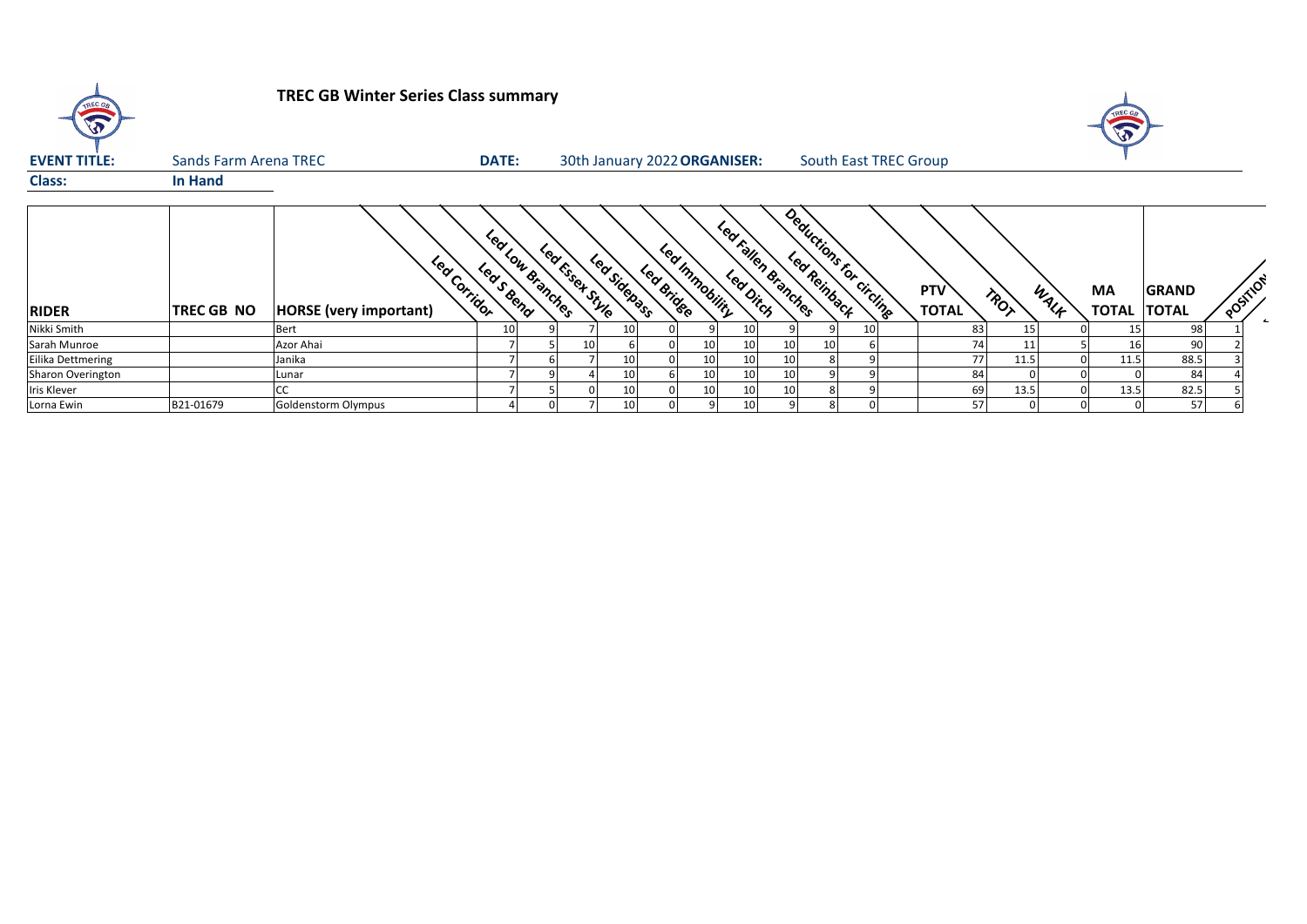| TREC GR             |                       | <b>TREC GB Winter Series Class summary</b>    |                                           |                              |                 |            |                |                     |                         |    |                            |      |      | E                               |              |         |                |
|---------------------|-----------------------|-----------------------------------------------|-------------------------------------------|------------------------------|-----------------|------------|----------------|---------------------|-------------------------|----|----------------------------|------|------|---------------------------------|--------------|---------|----------------|
| <b>EVENT TITLE:</b> | Sands Farm Arena TREC |                                               | <b>DATE:</b>                              | 30th January 2022 ORGANISER: |                 |            |                |                     | South East TREC Group   |    |                            |      |      |                                 |              |         |                |
| <b>Class:</b>       | In Hand               |                                               |                                           |                              |                 |            |                |                     |                         |    |                            |      |      |                                 |              |         |                |
| <b>RIDER</b>        | TREC GB NO            | Led Corridor<br><b>HORSE</b> (very important) | <b>LOO</b><br>- Low Branches<br>Leas Bend | Leafsset Style               | Lea Sidepass    | Led Bridge | Led Immobility | Led Fallen Branches | Deductions for circling |    | <b>PTV</b><br><b>TOTAL</b> | TROT | WALK | <b>MA</b><br><b>TOTAL TOTAL</b> | <b>GRAND</b> | POSTION | $\overline{ }$ |
| Nikki Smith         |                       | Bert                                          |                                           |                              | 10              |            |                |                     |                         | 10 | 83                         | 15   |      | 15                              | 98           |         |                |
| Sarah Munroe        |                       | Azor Ahai                                     |                                           | 10                           |                 |            | 10             | 10                  | 10 <sup>1</sup>         |    | 74                         | 11   |      | 16                              | 90           |         |                |
| Eilika Dettmering   |                       | Janika                                        |                                           |                              | 10              |            | 10             | 10                  |                         |    | 77                         | 11.5 |      | 11.5                            | 88.5         |         |                |
| Sharon Overington   |                       | Lunar                                         |                                           |                              | 10              |            | 10             | 10                  |                         |    | 84                         |      |      |                                 | 84           |         |                |
| Iris Klever         |                       |                                               |                                           |                              | 10 <sup>1</sup> |            | 10             | 10                  | 81                      |    | 69                         | 13.5 |      | 13.5                            | 82.5         |         |                |
| Lorna Ewin          | B21-01679             | Goldenstorm Olympus                           |                                           |                              | 10              |            |                |                     |                         |    | 57                         |      |      |                                 | 57           |         |                |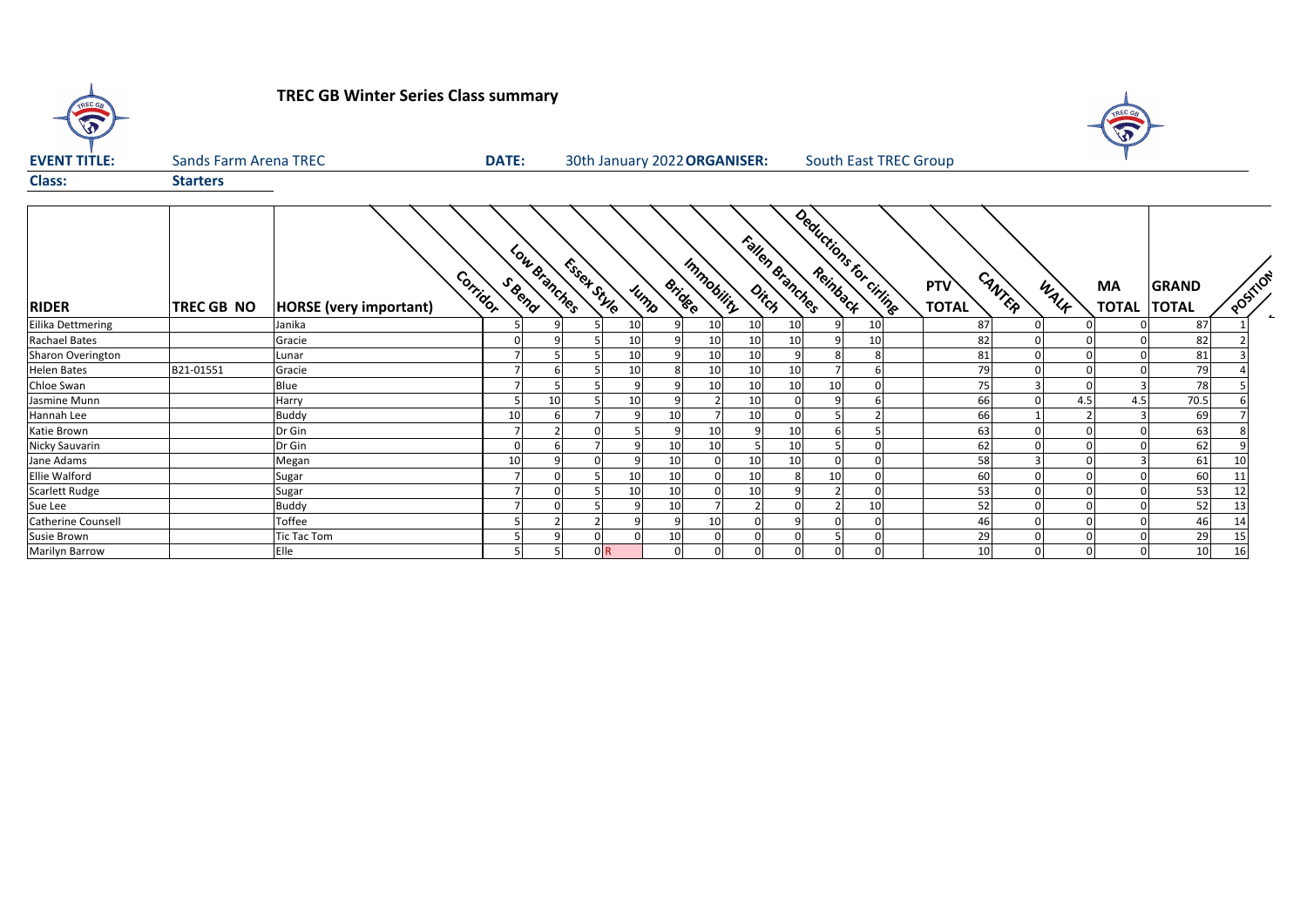| TREC G <sub>5</sub><br>$\bigtriangledown$ |                       | <b>TREC GB Winter Series Class summary</b> |                 |                        |             |    |                       |                              |    |                 |          |                        |                     |          |      |                    |                              |          |
|-------------------------------------------|-----------------------|--------------------------------------------|-----------------|------------------------|-------------|----|-----------------------|------------------------------|----|-----------------|----------|------------------------|---------------------|----------|------|--------------------|------------------------------|----------|
| <b>EVENT TITLE:</b>                       | Sands Farm Arena TREC |                                            | <b>DATE:</b>    |                        |             |    |                       | 30th January 2022 ORGANISER: |    |                 |          | South East TREC Group  |                     |          |      |                    |                              |          |
| <b>Class:</b>                             | <b>Starters</b>       |                                            |                 |                        |             |    |                       |                              |    |                 |          |                        |                     |          |      |                    |                              |          |
| <b>RIDER</b>                              | TREC GB NO            | Corridor<br><b>HORSE</b> (very important)  |                 | Low Branches<br>S Bend | Essex Sixte |    | <b>Bridge</b><br>Jump | Immobility                   |    | Fallen Branches |          | Deductions for criting | PTV<br><b>TOTAL</b> | CANTER   | WALK | MA<br><b>TOTAL</b> | <b>GRAND</b><br><b>TOTAL</b> | POSITION |
| Eilika Dettmering                         |                       | Janika                                     |                 |                        |             | 10 |                       | 10 <sup>1</sup>              | 10 | 10 <sup>1</sup> |          | 10 <sup>1</sup>        | 87                  |          |      |                    | 87                           |          |
| <b>Rachael Bates</b>                      |                       | Gracie                                     | n               |                        |             | 10 |                       | 10 <sup>1</sup>              | 10 | 10              |          | 10                     | 82                  |          |      |                    | 82                           |          |
| Sharon Overington                         |                       | Lunar                                      |                 |                        |             | 10 |                       | 10                           | 10 |                 |          |                        | 81                  |          |      |                    | 81                           |          |
| <b>Helen Bates</b>                        | B21-01551             | Gracie                                     |                 |                        |             | 10 |                       | 10 <sup>1</sup>              | 10 | 10 <sup>1</sup> |          |                        | 79                  |          |      |                    | 79                           |          |
| Chloe Swan                                |                       | Blue                                       |                 |                        |             | q  |                       | 10                           | 10 | 10              | 10       |                        | 75                  |          |      |                    | 78                           |          |
| Jasmine Munn                              |                       | Harry                                      |                 | 10                     |             | 10 |                       |                              | 10 |                 |          |                        | 66                  |          | 4.5  | 4.5                | 70.5                         |          |
| Hannah Lee                                |                       | Buddy                                      | 10 <sup>1</sup> |                        |             |    | 10                    |                              | 10 | $\Omega$        |          |                        | 66                  |          |      |                    | 69                           |          |
| Katie Brown                               |                       | Dr Gin                                     |                 |                        |             |    | q                     | 10                           |    | 10              |          |                        | 63                  |          |      |                    | 63                           |          |
| Nicky Sauvarin                            |                       | Dr Gin                                     |                 |                        |             |    | 10                    | 10 <sup>1</sup>              |    | 10              |          |                        | 62                  |          |      |                    | 62                           |          |
| Jane Adams                                |                       | Megan                                      | 10 <sup>1</sup> |                        |             | q  | 10                    |                              | 10 | 10 <sup>1</sup> | $\Omega$ |                        | 58                  |          |      |                    | 61                           |          |
| Ellie Walford                             |                       | Sugar                                      |                 |                        |             | 10 | 10                    |                              | 10 |                 | 10       |                        | 60                  |          |      |                    | 60                           |          |
| Scarlett Rudge                            |                       | Sugar                                      |                 |                        |             | 10 | 10                    |                              | 10 |                 |          |                        | 53                  |          |      |                    | 53                           |          |
| Sue Lee                                   |                       | Buddy                                      |                 |                        |             | q  | 10                    |                              |    |                 |          | 10                     | 52                  | n        |      |                    | 52                           | 13       |
| Catherine Counsell                        |                       | Toffee                                     |                 |                        |             |    |                       | 10                           |    |                 |          |                        | 46                  | $\Omega$ |      |                    | 46                           | 14       |
| Susie Brown                               |                       | <b>Tic Tac Tom</b>                         |                 |                        |             |    | 10                    |                              |    |                 |          |                        | 29                  |          |      |                    | 29                           | 15       |
| Marilyn Barrow                            |                       | Elle                                       | 5               |                        | 0 R         |    | $\mathbf 0$           | 0                            |    | 0               | 0        | 0                      | 10                  | 0        |      | $\overline{0}$     | 10                           | 16       |